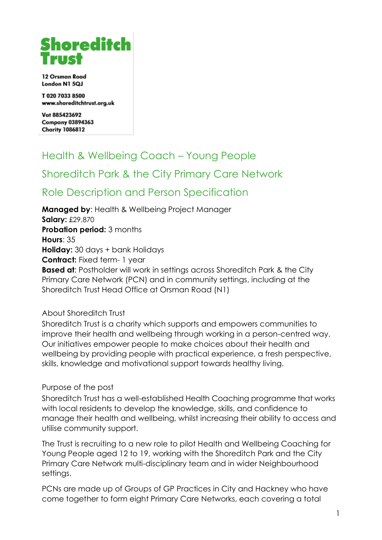# Shoreditch

12 Orsman Road London N1 5QJ

T 020 7033 8500 www.shoreditchtrust.org.uk

Vat 885423692 **Company 03894363 Charity 1086812** 

# Health & Wellbeing Coach – Young People

# Shoreditch Park & the City Primary Care Network

# Role Description and Person Specification

**Managed by**: Health & Wellbeing Project Manager **Salary:** £29,870 **Probation period: 3 months Hours**: 35 **Holiday:** 30 days + bank Holidays **Contract:** Fixed term- 1 year **Based at**: Postholder will work in settings across Shoreditch Park & the City Primary Care Network (PCN) and in community settings, including at the Shoreditch Trust Head Office at Orsman Road (N1)

About Shoreditch Trust

Shoreditch Trust is a charity which supports and empowers communities to improve their health and wellbeing through working in a person-centred way. Our initiatives empower people to make choices about their health and wellbeing by providing people with practical experience, a fresh perspective, skills, knowledge and motivational support towards healthy living.

# Purpose of the post

Shoreditch Trust has a well-established Health Coaching programme that works with local residents to develop the knowledge, skills, and confidence to manage their health and wellbeing, whilst increasing their ability to access and utilise community support.

The Trust is recruiting to a new role to pilot Health and Wellbeing Coaching for Young People aged 12 to 19, working with the Shoreditch Park and the City Primary Care Network multi-disciplinary team and in wider Neighbourhood settings.

PCNs are made up of Groups of GP Practices in City and Hackney who have come together to form eight Primary Care Networks, each covering a total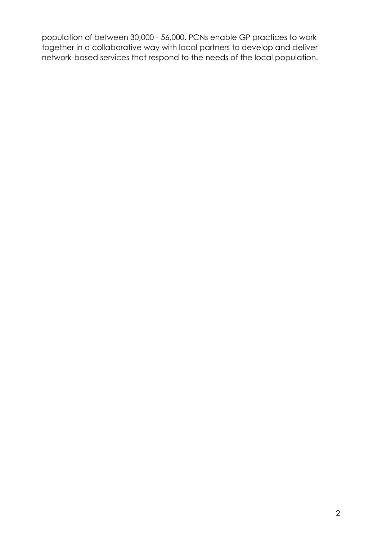population of between 30,000 - 56,000. PCNs enable GP practices to work together in a collaborative way with local partners to develop and deliver network-based services that respond to the needs of the local population.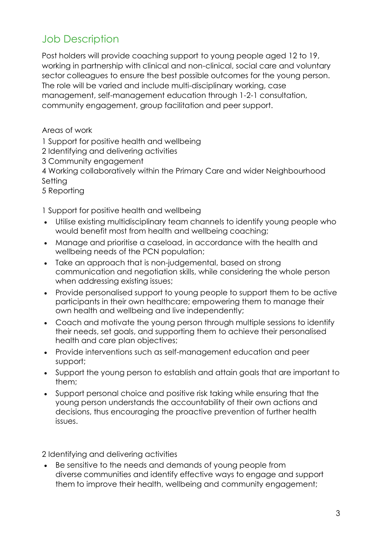# Job Description

Post holders will provide coaching support to young people aged 12 to 19, working in partnership with clinical and non-clinical, social care and voluntary sector colleagues to ensure the best possible outcomes for the young person. The role will be varied and include multi-disciplinary working, case management, self-management education through 1-2-1 consultation, community engagement, group facilitation and peer support.

Areas of work

1 Support for positive health and wellbeing

2 Identifying and delivering activities

3 Community engagement

4 Working collaboratively within the Primary Care and wider Neighbourhood Setting

5 Reporting

1 Support for positive health and wellbeing

- Utilise existing multidisciplinary team channels to identify young people who would benefit most from health and wellbeing coaching;
- Manage and prioritise a caseload, in accordance with the health and wellbeing needs of the PCN population;
- Take an approach that is non-judgemental, based on strong communication and negotiation skills, while considering the whole person when addressing existing issues;
- Provide personalised support to young people to support them to be active participants in their own healthcare; empowering them to manage their own health and wellbeing and live independently;
- Coach and motivate the young person through multiple sessions to identify their needs, set goals, and supporting them to achieve their personalised health and care plan objectives;
- Provide interventions such as self-management education and peer support;
- Support the young person to establish and attain goals that are important to them;
- Support personal choice and positive risk taking while ensuring that the young person understands the accountability of their own actions and decisions, thus encouraging the proactive prevention of further health issues.

2 Identifying and delivering activities

• Be sensitive to the needs and demands of young people from diverse communities and identify effective ways to engage and support them to improve their health, wellbeing and community engagement;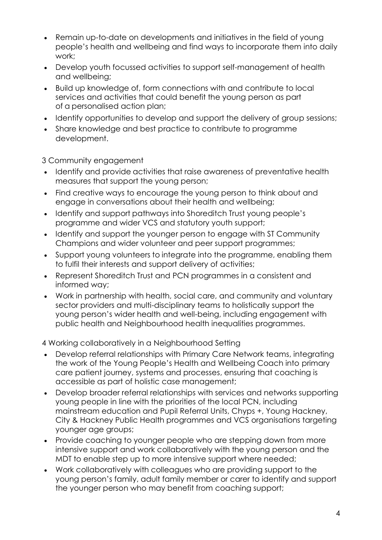- Remain up-to-date on developments and initiatives in the field of young people's health and wellbeing and find ways to incorporate them into daily work;
- Develop youth focussed activities to support self-management of health and wellbeing;
- Build up knowledge of, form connections with and contribute to local services and activities that could benefit the young person as part of a personalised action plan;
- Identify opportunities to develop and support the delivery of group sessions;
- Share knowledge and best practice to contribute to programme development.

3 Community engagement

- Identify and provide activities that raise awareness of preventative health measures that support the young person;
- Find creative ways to encourage the young person to think about and engage in conversations about their health and wellbeing;
- Identify and support pathways into Shoreditch Trust young people's programme and wider VCS and statutory youth support;
- Identify and support the younger person to engage with ST Community Champions and wider volunteer and peer support programmes;
- Support young volunteers to integrate into the programme, enabling them to fulfil their interests and support delivery of activities;
- Represent Shoreditch Trust and PCN programmes in a consistent and informed way;
- Work in partnership with health, social care, and community and voluntary sector providers and multi-disciplinary teams to holistically support the young person's wider health and well-being, including engagement with public health and Neighbourhood health inequalities programmes.

4 Working collaboratively in a Neighbourhood Setting

- Develop referral relationships with Primary Care Network teams, integrating the work of the Young People's Health and Wellbeing Coach into primary care patient journey, systems and processes, ensuring that coaching is accessible as part of holistic case management;
- Develop broader referral relationships with services and networks supporting young people in line with the priorities of the local PCN, including mainstream education and Pupil Referral Units, Chyps +, Young Hackney, City & Hackney Public Health programmes and VCS organisations targeting younger age groups;
- Provide coaching to younger people who are stepping down from more intensive support and work collaboratively with the young person and the MDT to enable step up to more intensive support where needed;
- Work collaboratively with colleagues who are providing support to the young person's family, adult family member or carer to identify and support the younger person who may benefit from coaching support;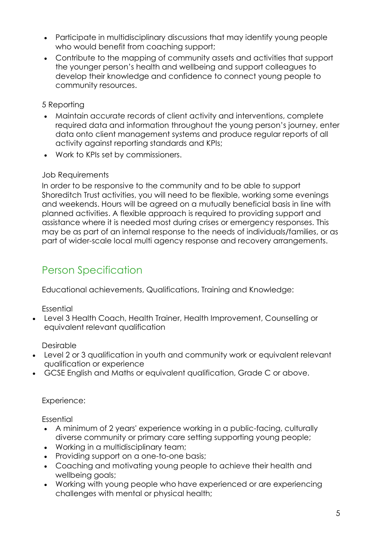- Participate in multidisciplinary discussions that may identify young people who would benefit from coaching support;
- Contribute to the mapping of community assets and activities that support the younger person's health and wellbeing and support colleagues to develop their knowledge and confidence to connect young people to community resources.

### 5 Reporting

- Maintain accurate records of client activity and interventions, complete required data and information throughout the young person's journey, enter data onto client management systems and produce regular reports of all activity against reporting standards and KPIs;
- Work to KPIs set by commissioners.

# Job Requirements

In order to be responsive to the community and to be able to support Shoreditch Trust activities, you will need to be flexible, working some evenings and weekends. Hours will be agreed on a mutually beneficial basis in line with planned activities. A flexible approach is required to providing support and assistance where it is needed most during crises or emergency responses. This may be as part of an internal response to the needs of individuals/families, or as part of wider-scale local multi agency response and recovery arrangements.

# Person Specification

Educational achievements, Qualifications, Training and Knowledge:

Essential

• Level 3 Health Coach, Health Trainer, Health Improvement, Counselling or equivalent relevant qualification

Desirable

- Level 2 or 3 qualification in youth and community work or equivalent relevant qualification or experience
- GCSE English and Maths or equivalent qualification, Grade C or above.

Experience:

Essential

- A minimum of 2 years' experience working in a public-facing, culturally diverse community or primary care setting supporting young people;
- Working in a multidisciplinary team;
- Providing support on a one-to-one basis;
- Coaching and motivating young people to achieve their health and wellbeing goals;
- Working with young people who have experienced or are experiencing challenges with mental or physical health;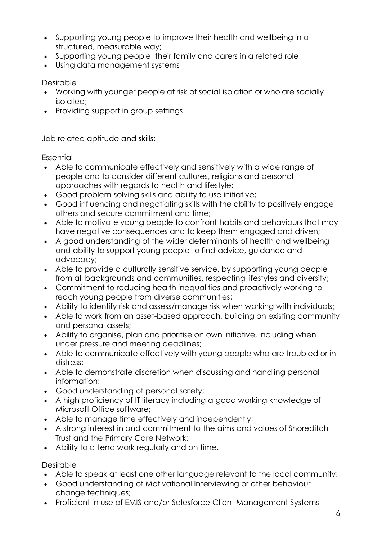- Supporting young people to improve their health and wellbeing in a structured, measurable way;
- Supporting young people, their family and carers in a related role;
- Using data management systems

Desirable

- Working with younger people at risk of social isolation or who are socially isolated;
- Providing support in group settings.

Job related aptitude and skills:

**Essential** 

- Able to communicate effectively and sensitively with a wide range of people and to consider different cultures, religions and personal approaches with regards to health and lifestyle;
- Good problem-solving skills and ability to use initiative;
- Good influencing and negotiating skills with the ability to positively engage others and secure commitment and time;
- Able to motivate young people to confront habits and behaviours that may have negative consequences and to keep them engaged and driven;
- A good understanding of the wider determinants of health and wellbeing and ability to support young people to find advice, guidance and advocacy;
- Able to provide a culturally sensitive service, by supporting young people from all backgrounds and communities, respecting lifestyles and diversity;
- Commitment to reducing health inequalities and proactively working to reach young people from diverse communities;
- Ability to identify risk and assess/manage risk when working with individuals;
- Able to work from an asset-based approach, building on existing community and personal assets;
- Ability to organise, plan and prioritise on own initiative, including when under pressure and meeting deadlines;
- Able to communicate effectively with young people who are troubled or in distress;
- Able to demonstrate discretion when discussing and handling personal information;
- Good understanding of personal safety;
- A high proficiency of IT literacy including a good working knowledge of Microsoft Office software;
- Able to manage time effectively and independently;
- A strong interest in and commitment to the aims and values of Shoreditch Trust and the Primary Care Network;
- Ability to attend work regularly and on time.

Desirable

- Able to speak at least one other language relevant to the local community;
- Good understanding of Motivational Interviewing or other behaviour change techniques;
- Proficient in use of EMIS and/or Salesforce Client Management Systems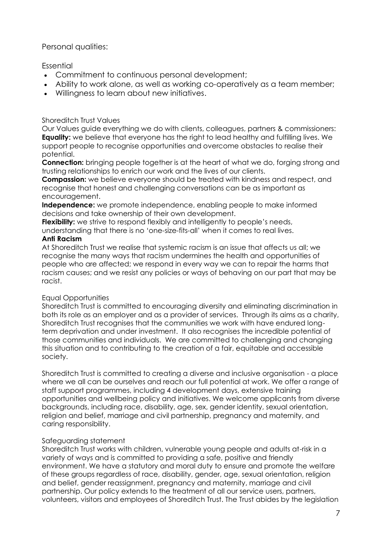Personal qualities:

#### Essential

- Commitment to continuous personal development;
- Ability to work alone, as well as working co-operatively as a team member;
- Willingness to learn about new initiatives.

#### Shoreditch Trust Values

Our Values guide everything we do with clients, colleagues, partners & commissioners: **Equality:** we believe that everyone has the right to lead healthy and fulfilling lives. We support people to recognise opportunities and overcome obstacles to realise their potential.

**Connection:** bringing people together is at the heart of what we do, forging strong and trusting relationships to enrich our work and the lives of our clients.

**Compassion:** we believe everyone should be treated with kindness and respect, and recognise that honest and challenging conversations can be as important as encouragement.

**Independence:** we promote independence, enabling people to make informed decisions and take ownership of their own development.

**Flexibility:** we strive to respond flexibly and intelligently to people's needs,

understanding that there is no 'one-size-fits-all' when it comes to real lives. **Anti Racism**

At Shoreditch Trust we realise that systemic racism is an issue that affects us all; we recognise the many ways that racism undermines the health and opportunities of people who are affected; we respond in every way we can to repair the harms that racism causes; and we resist any policies or ways of behaving on our part that may be racist.

#### Equal Opportunities

Shoreditch Trust is committed to encouraging diversity and eliminating discrimination in both its role as an employer and as a provider of services. Through its aims as a charity, Shoreditch Trust recognises that the communities we work with have endured longterm deprivation and under investment. It also recognises the incredible potential of those communities and individuals. We are committed to challenging and changing this situation and to contributing to the creation of a fair, equitable and accessible society.

Shoreditch Trust is committed to creating a diverse and inclusive organisation - a place where we all can be ourselves and reach our full potential at work. We offer a range of staff support programmes, including 4 development days, extensive training opportunities and wellbeing policy and initiatives. We welcome applicants from diverse backgrounds, including race, disability, age, sex, gender identity, sexual orientation, religion and belief, marriage and civil partnership, pregnancy and maternity, and caring responsibility.

# Safeguarding statement

Shoreditch Trust works with children, vulnerable young people and adults at-risk in a variety of ways and is committed to providing a safe, positive and friendly environment. We have a statutory and moral duty to ensure and promote the welfare of these groups regardless of race, disability, gender, age, sexual orientation, religion and belief, gender reassignment, pregnancy and maternity, marriage and civil partnership. Our policy extends to the treatment of all our service users, partners, volunteers, visitors and employees of Shoreditch Trust. The Trust abides by the legislation